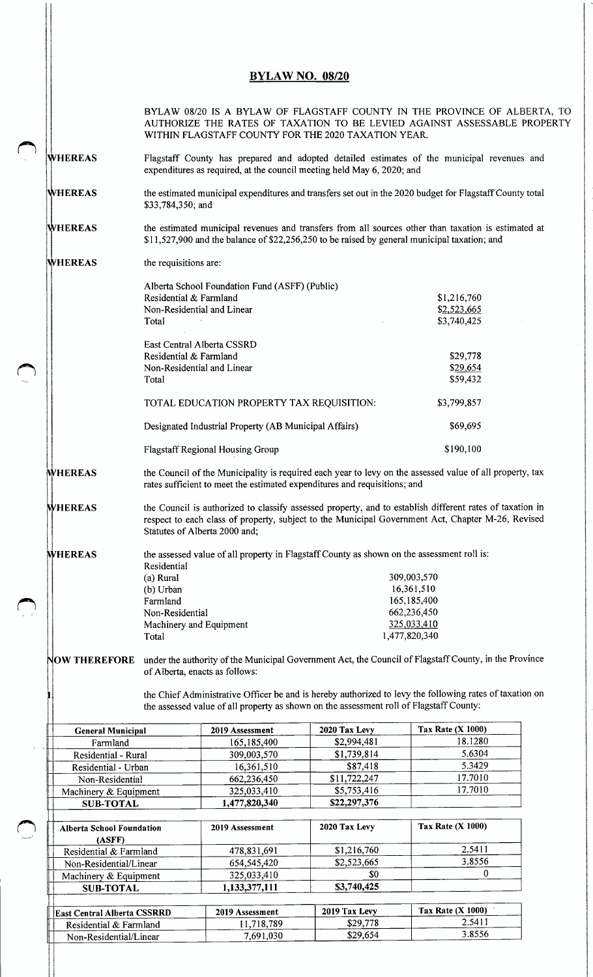## **BYLAW NO. 08/20**

|                                            | BYLAW 08/20 IS A BYLAW OF FLAGSTAFF COUNTY IN THE PROVINCE OF ALBERTA, TO<br>AUTHORIZE THE RATES OF TAXATION TO BE LEVIED AGAINST ASSESSABLE PROPERTY<br>WITHIN FLAGSTAFF COUNTY FOR THE 2020 TAXATION YEAR.                                   |                                                                                         |                             |                                                                                                         |  |  |  |
|--------------------------------------------|------------------------------------------------------------------------------------------------------------------------------------------------------------------------------------------------------------------------------------------------|-----------------------------------------------------------------------------------------|-----------------------------|---------------------------------------------------------------------------------------------------------|--|--|--|
| <b>WHEREAS</b>                             | Flagstaff County has prepared and adopted detailed estimates of the municipal revenues and<br>expenditures as required, at the council meeting held May 6, 2020; and                                                                           |                                                                                         |                             |                                                                                                         |  |  |  |
| <b>WHEREAS</b>                             | the estimated municipal expenditures and transfers set out in the 2020 budget for Flagstaff County total<br>\$33,784,350; and                                                                                                                  |                                                                                         |                             |                                                                                                         |  |  |  |
| <b>WHEREAS</b>                             | the estimated municipal revenues and transfers from all sources other than taxation is estimated at<br>\$11,527,900 and the balance of \$22,256,250 to be raised by general municipal taxation; and                                            |                                                                                         |                             |                                                                                                         |  |  |  |
| <b>WHEREAS</b>                             | the requisitions are:                                                                                                                                                                                                                          |                                                                                         |                             |                                                                                                         |  |  |  |
|                                            | Alberta School Foundation Fund (ASFF) (Public)                                                                                                                                                                                                 |                                                                                         |                             |                                                                                                         |  |  |  |
|                                            | Residential & Farmland<br>Non-Residential and Linear                                                                                                                                                                                           |                                                                                         |                             | \$1,216,760                                                                                             |  |  |  |
|                                            | Total                                                                                                                                                                                                                                          |                                                                                         |                             | \$2,523,665<br>\$3,740,425                                                                              |  |  |  |
|                                            | East Central Alberta CSSRD                                                                                                                                                                                                                     |                                                                                         |                             |                                                                                                         |  |  |  |
|                                            | Residential & Farmland                                                                                                                                                                                                                         |                                                                                         |                             | \$29,778                                                                                                |  |  |  |
|                                            | Non-Residential and Linear                                                                                                                                                                                                                     |                                                                                         |                             | \$29,654                                                                                                |  |  |  |
|                                            | Total                                                                                                                                                                                                                                          |                                                                                         |                             | \$59,432                                                                                                |  |  |  |
|                                            |                                                                                                                                                                                                                                                | TOTAL EDUCATION PROPERTY TAX REQUISITION:                                               | \$3,799,857                 |                                                                                                         |  |  |  |
|                                            | Designated Industrial Property (AB Municipal Affairs)                                                                                                                                                                                          |                                                                                         |                             | \$69,695                                                                                                |  |  |  |
|                                            | Flagstaff Regional Housing Group                                                                                                                                                                                                               |                                                                                         |                             | \$190,100                                                                                               |  |  |  |
| <b>WHEREAS</b>                             | the Council of the Municipality is required each year to levy on the assessed value of all property, tax<br>rates sufficient to meet the estimated expenditures and requisitions; and                                                          |                                                                                         |                             |                                                                                                         |  |  |  |
| <b>WHEREAS</b>                             | the Council is authorized to classify assessed property, and to establish different rates of taxation in<br>respect to each class of property, subject to the Municipal Government Act, Chapter M-26, Revised<br>Statutes of Alberta 2000 and; |                                                                                         |                             |                                                                                                         |  |  |  |
| <b>WHEREAS</b>                             | the assessed value of all property in Flagstaff County as shown on the assessment roll is:<br>Residential                                                                                                                                      |                                                                                         |                             |                                                                                                         |  |  |  |
|                                            | (a) Rural                                                                                                                                                                                                                                      |                                                                                         |                             | 309,003,570                                                                                             |  |  |  |
|                                            | (b) Urban                                                                                                                                                                                                                                      |                                                                                         |                             | 16,361,510                                                                                              |  |  |  |
|                                            | Farmland                                                                                                                                                                                                                                       |                                                                                         |                             | 165,185,400                                                                                             |  |  |  |
|                                            | Non-Residential                                                                                                                                                                                                                                |                                                                                         | 662,236,450                 |                                                                                                         |  |  |  |
|                                            | Machinery and Equipment                                                                                                                                                                                                                        |                                                                                         |                             | 325,033,410                                                                                             |  |  |  |
|                                            | Total                                                                                                                                                                                                                                          |                                                                                         | 1,477,820,340               |                                                                                                         |  |  |  |
| <b>NOW THEREFORE</b>                       | of Alberta, enacts as follows:                                                                                                                                                                                                                 |                                                                                         |                             | under the authority of the Municipal Government Act, the Council of Flagstaff County, in the Province   |  |  |  |
|                                            |                                                                                                                                                                                                                                                | the assessed value of all property as shown on the assessment roll of Flagstaff County: |                             | the Chief Administrative Officer be and is hereby authorized to levy the following rates of taxation on |  |  |  |
| <b>General Municipal</b>                   |                                                                                                                                                                                                                                                | 2019 Assessment                                                                         | 2020 Tax Levy               | <b>Tax Rate (X 1000)</b>                                                                                |  |  |  |
| Farmland                                   |                                                                                                                                                                                                                                                | 165,185,400                                                                             | \$2,994,481                 | 18.1280                                                                                                 |  |  |  |
| Residential - Rural                        |                                                                                                                                                                                                                                                | 309,003,570                                                                             | \$1,739,814                 | 5.6304                                                                                                  |  |  |  |
| Residential - Urban                        |                                                                                                                                                                                                                                                | 16,361,510                                                                              | \$87,418                    | 5.3429                                                                                                  |  |  |  |
| Non-Residential                            |                                                                                                                                                                                                                                                | 662,236,450                                                                             | \$11,722,247                | 17.7010                                                                                                 |  |  |  |
| Machinery & Equipment<br><b>SUB-TOTAL</b>  |                                                                                                                                                                                                                                                | 325,033,410<br>1,477,820,340                                                            | \$5,753,416<br>\$22,297,376 | 17.7010                                                                                                 |  |  |  |
|                                            |                                                                                                                                                                                                                                                |                                                                                         |                             |                                                                                                         |  |  |  |
| <b>Alberta School Foundation</b><br>(ASFF) |                                                                                                                                                                                                                                                | 2019 Assessment                                                                         | 2020 Tax Levy               | <b>Tax Rate (X 1000)</b>                                                                                |  |  |  |
| Residential & Farmland                     |                                                                                                                                                                                                                                                | 478,831,691                                                                             | \$1,216,760                 | 2.5411                                                                                                  |  |  |  |
| Non-Residential/Linear                     |                                                                                                                                                                                                                                                | 654,545,420                                                                             | \$2,523,665                 | 3.8556                                                                                                  |  |  |  |
| Machinery & Equipment                      |                                                                                                                                                                                                                                                | 325,033,410                                                                             | \$0                         | 0                                                                                                       |  |  |  |
| <b>SUB-TOTAL</b>                           |                                                                                                                                                                                                                                                | 1,133,377,111                                                                           | \$3,740,425                 |                                                                                                         |  |  |  |
| East Central Alberta CSSRRD                |                                                                                                                                                                                                                                                | 2019 Assessment                                                                         | 2019 Tax Levy               | Tax Rate $(X 1000)$                                                                                     |  |  |  |
| Residential & Farmland                     |                                                                                                                                                                                                                                                | 11,718,789                                                                              | \$29,778                    | 2.5411                                                                                                  |  |  |  |
| Non-Residential/Linear                     |                                                                                                                                                                                                                                                | 7,691,030                                                                               | \$29,654                    | 3.8556                                                                                                  |  |  |  |
|                                            |                                                                                                                                                                                                                                                |                                                                                         |                             |                                                                                                         |  |  |  |